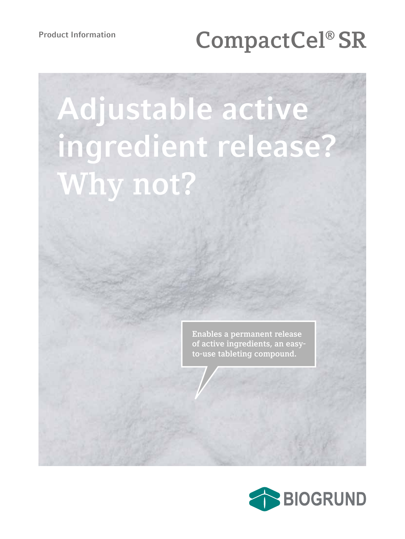# Product Information<br> **CompactCel® SR**

# **Adjustable active ingredient release? Why not?**

**Enables a permanent release of active ingredients, an easyto-use tableting compound.**